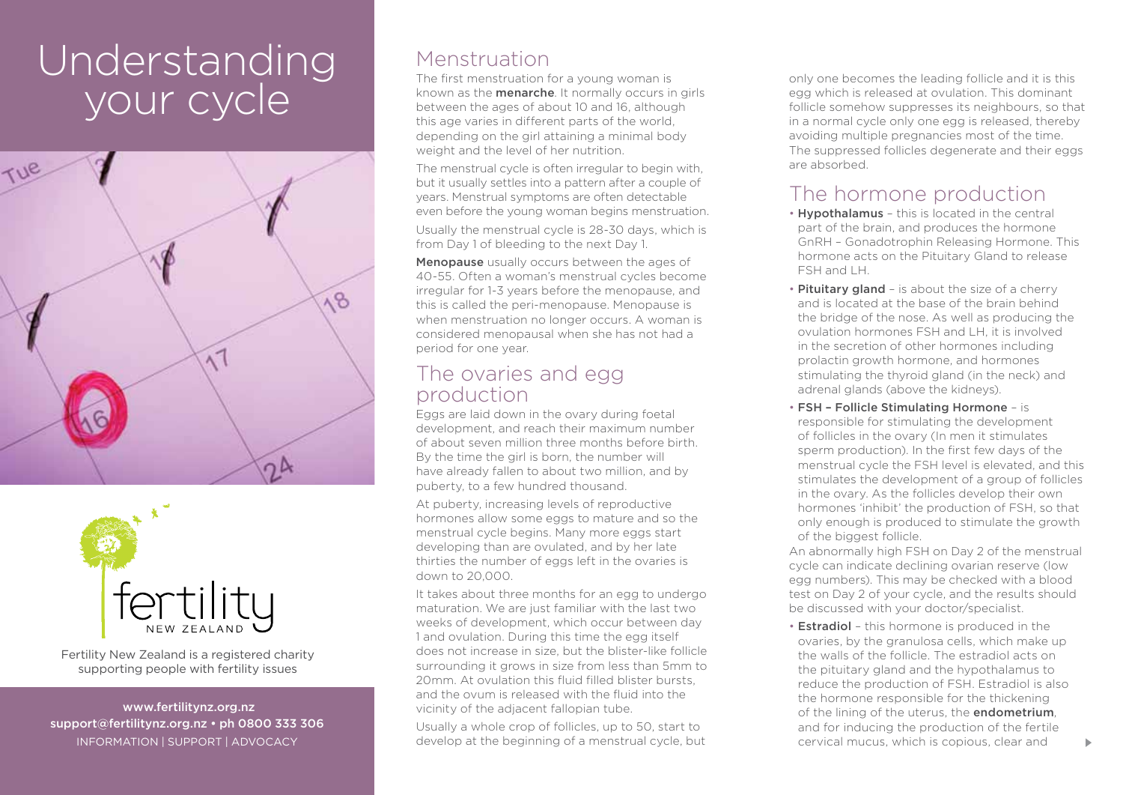# Understanding your cycle





Fertility New Zealand is a registered charity supporting people with fertility issues

 www.fertilitynz.org.nz support@fertilitynz.org.nz • ph 0800 333 306

### Menstruation

The first menstruation for a young woman is known as the menarche. It normally occurs in girls between the ages of about 10 and 16, although this age varies in different parts of the world, depending on the girl attaining a minimal body weight and the level of her nutrition.

The menstrual cycle is often irregular to begin with, but it usually settles into a pattern after a couple of years. Menstrual symptoms are often detectable even before the young woman begins menstruation.

Usually the menstrual cycle is 28-30 days, which is from Day 1 of bleeding to the next Day 1.

Menopause usually occurs between the ages of 40-55. Often a woman's menstrual cycles become irregular for 1-3 years before the menopause, and this is called the peri-menopause. Menopause is when menstruation no longer occurs. A woman is considered menopausal when she has not had a period for one year.

### The ovaries and egg production

Eggs are laid down in the ovary during foetal development, and reach their maximum number of about seven million three months before birth. By the time the girl is born, the number will have already fallen to about two million, and by puberty, to a few hundred thousand.

At puberty, increasing levels of reproductive hormones allow some eggs to mature and so the menstrual cycle begins. Many more eggs start developing than are ovulated, and by her late thirties the number of eggs left in the ovaries is down to 20,000.

It takes about three months for an egg to undergo maturation. We are just familiar with the last two weeks of development, which occur between day 1 and ovulation. During this time the egg itself does not increase in size, but the blister-like follicle surrounding it grows in size from less than 5mm to 20mm. At ovulation this fluid filled blister bursts, and the ovum is released with the fluid into the vicinity of the adjacent fallopian tube.

INFORMATION | SUPPORT | ADVOCACY **30 COVIDENT ADVOCACY** 3 develop at the beginning of a menstrual cycle, but **30 Covidence** Cervical mucus, which is copious, clear and Usually a whole crop of follicles, up to 50, start to

only one becomes the leading follicle and it is this egg which is released at ovulation. This dominant follicle somehow suppresses its neighbours, so that in a normal cycle only one egg is released, thereby avoiding multiple pregnancies most of the time. The suppressed follicles degenerate and their eggs are absorbed.

## The hormone production

- **Hypothalamus** this is located in the central part of the brain, and produces the hormone GnRH – Gonadotrophin Releasing Hormone. This hormone acts on the Pituitary Gland to release FSH and LH.
- Pituitary gland is about the size of a cherry and is located at the base of the brain behind the bridge of the nose. As well as producing the ovulation hormones FSH and LH, it is involved in the secretion of other hormones including prolactin growth hormone, and hormones stimulating the thyroid gland (in the neck) and adrenal glands (above the kidneys).
- Fsh Follicle Stimulating Hormone is responsible for stimulating the development of follicles in the ovary (In men it stimulates sperm production). In the first few days of the menstrual cycle the FSH level is elevated, and this stimulates the development of a group of follicles in the ovary. As the follicles develop their own hormones 'inhibit' the production of FSH, so that only enough is produced to stimulate the growth of the biggest follicle.

An abnormally high FSH on Day 2 of the menstrual cycle can indicate declining ovarian reserve (low egg numbers). This may be checked with a blood test on Day 2 of your cycle, and the results should be discussed with your doctor/specialist.

• Estradiol – this hormone is produced in the ovaries, by the granulosa cells, which make up the walls of the follicle. The estradiol acts on the pituitary gland and the hypothalamus to reduce the production of FSH. Estradiol is also the hormone responsible for the thickening of the lining of the uterus, the **endometrium**. and for inducing the production of the fertile cervical mucus, which is copious, clear and